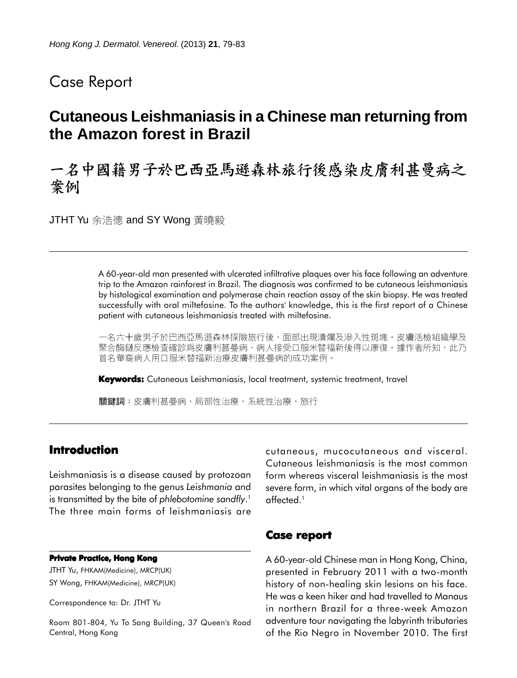## Case Report

## **Cutaneous Leishmaniasis in a Chinese man returning from the Amazon forest in Brazil**

# 一名中國籍男子於巴西亞馬遜森林旅行後感染皮膚利甚曼病之 案例

JTHT Yu 余浩德 and SY Wong 黃曉毅

A 60-year-old man presented with ulcerated infiltrative plaques over his face following an adventure trip to the Amazon rainforest in Brazil. The diagnosis was confirmed to be cutaneous leishmaniasis by histological examination and polymerase chain reaction assay of the skin biopsy. He was treated successfully with oral miltefosine. To the authors' knowledge, this is the first report of a Chinese patient with cutaneous leishmaniasis treated with miltefosine.

一名六十歲男子於巴西亞馬遜森林探險旅行後,面部出現潰爛及滲入性斑塊。皮膚活檢組織學及 聚合酶鏈反應檢查確診爲皮膚利甚曼病,病人接受口服米替福新後得以康復。據作者所知,此乃 首名華裔病人用口服米替福新治療皮膚利甚曼病的成功案例。

**Keywords:** Cutaneous Leishmaniasis, local treatment, systemic treatment, travel

關鍵詞:皮膚利甚曼病、局部性治療、系統性治療、旅行

## **Introduction**

Leishmaniasis is a disease caused by protozoan parasites belonging to the genus *Leishmania* and is transmitted by the bite of *phlebotomine sandfly*. 1 The three main forms of leishmaniasis are

#### **Private Practice, Hong Kong**

JTHT Yu, FHKAM(Medicine), MRCP(UK) SY Wong, FHKAM(Medicine), MRCP(UK)

Correspondence to: Dr. JTHT Yu

Room 801-804, Yu To Sang Building, 37 Queen's Road Central, Hong Kong

cutaneous, mucocutaneous and visceral. Cutaneous leishmaniasis is the most common form whereas visceral leishmaniasis is the most severe form, in which vital organs of the body are affected.1

### **Case report**

A 60-year-old Chinese man in Hong Kong, China, presented in February 2011 with a two-month history of non-healing skin lesions on his face. He was a keen hiker and had travelled to Manaus in northern Brazil for a three-week Amazon adventure tour navigating the labyrinth tributaries of the Rio Negro in November 2010. The first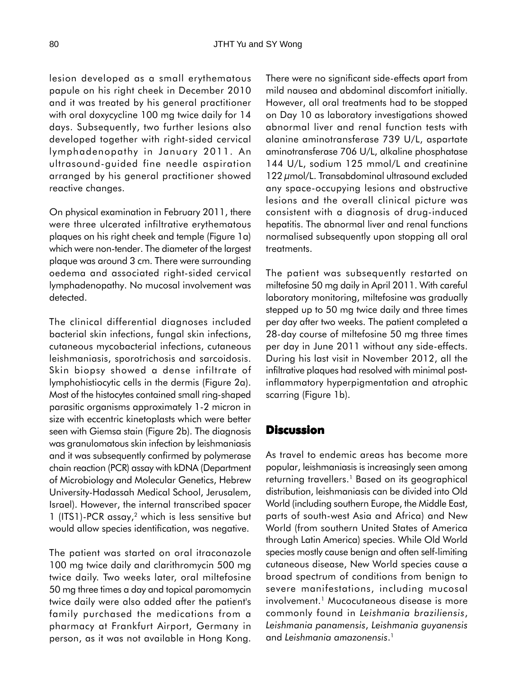lesion developed as a small erythematous papule on his right cheek in December 2010 and it was treated by his general practitioner with oral doxycycline 100 mg twice daily for 14 days. Subsequently, two further lesions also developed together with right-sided cervical lymphadenopathy in January 2011. An ultrasound-guided fine needle aspiration arranged by his general practitioner showed reactive changes.

On physical examination in February 2011, there were three ulcerated infiltrative erythematous plaques on his right cheek and temple (Figure 1a) which were non-tender. The diameter of the largest plaque was around 3 cm. There were surrounding oedema and associated right-sided cervical lymphadenopathy. No mucosal involvement was detected.

The clinical differential diagnoses included bacterial skin infections, fungal skin infections, cutaneous mycobacterial infections, cutaneous leishmaniasis, sporotrichosis and sarcoidosis. Skin biopsy showed a dense infiltrate of lymphohistiocytic cells in the dermis (Figure 2a). Most of the histocytes contained small ring-shaped parasitic organisms approximately 1-2 micron in size with eccentric kinetoplasts which were better seen with Giemsa stain (Figure 2b). The diagnosis was granulomatous skin infection by leishmaniasis and it was subsequently confirmed by polymerase chain reaction (PCR) assay with kDNA (Department of Microbiology and Molecular Genetics, Hebrew University-Hadassah Medical School, Jerusalem, Israel). However, the internal transcribed spacer 1 (ITS1)-PCR assay,<sup>2</sup> which is less sensitive but would allow species identification, was negative.

The patient was started on oral itraconazole 100 mg twice daily and clarithromycin 500 mg twice daily. Two weeks later, oral miltefosine 50 mg three times a day and topical paromomycin twice daily were also added after the patient's family purchased the medications from a pharmacy at Frankfurt Airport, Germany in person, as it was not available in Hong Kong. There were no significant side-effects apart from mild nausea and abdominal discomfort initially. However, all oral treatments had to be stopped on Day 10 as laboratory investigations showed abnormal liver and renal function tests with alanine aminotransferase 739 U/L, aspartate aminotransferase 706 U/L, alkaline phosphatase 144 U/L, sodium 125 mmol/L and creatinine 122 µmol/L. Transabdominal ultrasound excluded any space-occupying lesions and obstructive lesions and the overall clinical picture was consistent with a diagnosis of drug-induced hepatitis. The abnormal liver and renal functions normalised subsequently upon stopping all oral treatments.

The patient was subsequently restarted on miltefosine 50 mg daily in April 2011. With careful laboratory monitoring, miltefosine was gradually stepped up to 50 mg twice daily and three times per day after two weeks. The patient completed a 28-day course of miltefosine 50 mg three times per day in June 2011 without any side-effects. During his last visit in November 2012, all the infiltrative plaques had resolved with minimal postinflammatory hyperpigmentation and atrophic scarring (Figure 1b).

## **Discussion**

As travel to endemic areas has become more popular, leishmaniasis is increasingly seen among returning travellers.<sup>1</sup> Based on its geographical distribution, leishmaniasis can be divided into Old World (including southern Europe, the Middle East, parts of south-west Asia and Africa) and New World (from southern United States of America through Latin America) species. While Old World species mostly cause benign and often self-limiting cutaneous disease, New World species cause a broad spectrum of conditions from benign to severe manifestations, including mucosal involvement.<sup>1</sup> Mucocutaneous disease is more commonly found in *Leishmania braziliensis*, *Leishmania panamensis*, *Leishmania guyanensis* and *Leishmania amazonensis*. 1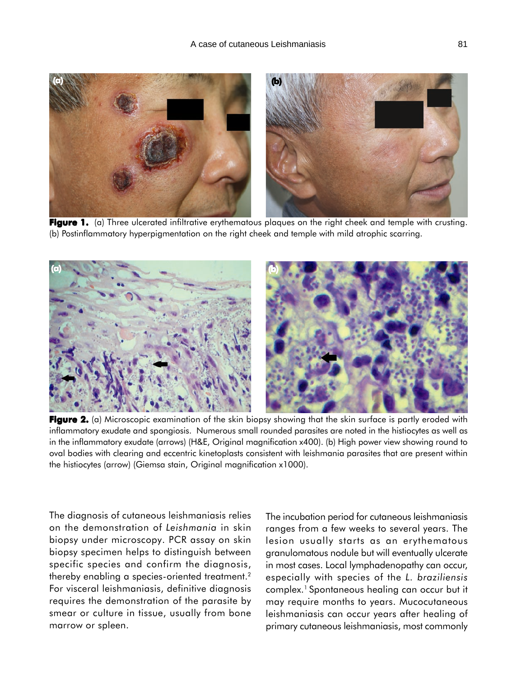

**Figure 1.** (a) Three ulcerated infiltrative erythematous plaques on the right cheek and temple with crusting. (b) Postinflammatory hyperpigmentation on the right cheek and temple with mild atrophic scarring.



**Figure 2.** (a) Microscopic examination of the skin biopsy showing that the skin surface is partly eroded with inflammatory exudate and spongiosis. Numerous small rounded parasites are noted in the histiocytes as well as in the inflammatory exudate (arrows) (H&E, Original magnification x400). (b) High power view showing round to oval bodies with clearing and eccentric kinetoplasts consistent with leishmania parasites that are present within the histiocytes (arrow) (Giemsa stain, Original magnification x1000).

The diagnosis of cutaneous leishmaniasis relies on the demonstration of *Leishmania* in skin biopsy under microscopy. PCR assay on skin biopsy specimen helps to distinguish between specific species and confirm the diagnosis, thereby enabling a species-oriented treatment.2 For visceral leishmaniasis, definitive diagnosis requires the demonstration of the parasite by smear or culture in tissue, usually from bone marrow or spleen.

The incubation period for cutaneous leishmaniasis ranges from a few weeks to several years. The lesion usually starts as an erythematous granulomatous nodule but will eventually ulcerate in most cases. Local lymphadenopathy can occur, especially with species of the *L. braziliensis* complex.1 Spontaneous healing can occur but it may require months to years. Mucocutaneous leishmaniasis can occur years after healing of primary cutaneous leishmaniasis, most commonly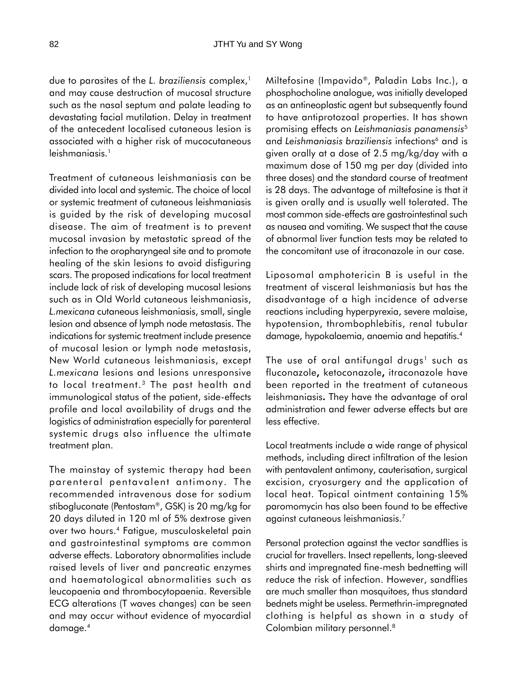due to parasites of the *L. braziliensis* complex,1 and may cause destruction of mucosal structure such as the nasal septum and palate leading to devastating facial mutilation. Delay in treatment of the antecedent localised cutaneous lesion is associated with a higher risk of mucocutaneous leishmaniasis.<sup>1</sup>

Treatment of cutaneous leishmaniasis can be divided into local and systemic. The choice of local or systemic treatment of cutaneous leishmaniasis is guided by the risk of developing mucosal disease. The aim of treatment is to prevent mucosal invasion by metastatic spread of the infection to the oropharyngeal site and to promote healing of the skin lesions to avoid disfiguring scars. The proposed indications for local treatment include lack of risk of developing mucosal lesions such as in Old World cutaneous leishmaniasis, *L.mexicana* cutaneous leishmaniasis, small, single lesion and absence of lymph node metastasis. The indications for systemic treatment include presence of mucosal lesion or lymph node metastasis, New World cutaneous leishmaniasis, except *L.mexicana* lesions and lesions unresponsive to local treatment.3 The past health and immunological status of the patient, side-effects profile and local availability of drugs and the logistics of administration especially for parenteral systemic drugs also influence the ultimate treatment plan.

The mainstay of systemic therapy had been parenteral pentavalent antimony. The recommended intravenous dose for sodium stibogluconate (Pentostam®, GSK) is 20 mg/kg for 20 days diluted in 120 ml of 5% dextrose given over two hours.4 Fatigue, musculoskeletal pain and gastrointestinal symptoms are common adverse effects. Laboratory abnormalities include raised levels of liver and pancreatic enzymes and haematological abnormalities such as leucopaenia and thrombocytopaenia. Reversible ECG alterations (T waves changes) can be seen and may occur without evidence of myocardial damage.4

Miltefosine (Impavido®, Paladin Labs Inc.), a phosphocholine analogue, was initially developed as an antineoplastic agent but subsequently found to have antiprotozoal properties. It has shown promising effects on *Leishmaniasis panamensis*<sup>5</sup> and *Leishmaniasis braziliensis* infections<sup>6</sup> and is given orally at a dose of 2.5 mg/kg/day with a maximum dose of 150 mg per day (divided into three doses) and the standard course of treatment is 28 days. The advantage of miltefosine is that it is given orally and is usually well tolerated. The most common side-effects are gastrointestinal such as nausea and vomiting. We suspect that the cause of abnormal liver function tests may be related to the concomitant use of itraconazole in our case.

Liposomal amphotericin B is useful in the treatment of visceral leishmaniasis but has the disadvantage of a high incidence of adverse reactions including hyperpyrexia, severe malaise, hypotension, thrombophlebitis, renal tubular damage, hypokalaemia, anaemia and hepatitis.4

The use of oral antifungal drugs<sup>1</sup> such as fluconazole, ketoconazole, itraconazole have been reported in the treatment of cutaneous leishmaniasis. They have the advantage of oral administration and fewer adverse effects but are less effective.

Local treatments include a wide range of physical methods, including direct infiltration of the lesion with pentavalent antimony, cauterisation, surgical excision, cryosurgery and the application of local heat. Topical ointment containing 15% paromomycin has also been found to be effective against cutaneous leishmaniasis.7

Personal protection against the vector sandflies is crucial for travellers. Insect repellents, long-sleeved shirts and impregnated fine-mesh bednetting will reduce the risk of infection. However, sandflies are much smaller than mosquitoes, thus standard bednets might be useless. Permethrin-impregnated clothing is helpful as shown in a study of Colombian military personnel.<sup>8</sup>